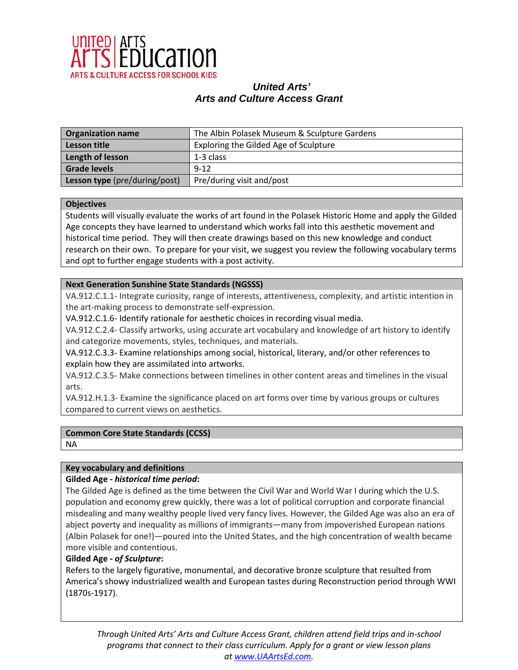

| <b>Organization name</b>      | The Albin Polasek Museum & Sculpture Gardens |
|-------------------------------|----------------------------------------------|
| <b>Lesson title</b>           | Exploring the Gilded Age of Sculpture        |
| Length of lesson              | 1-3 class                                    |
| <b>Grade levels</b>           | $9 - 12$                                     |
| Lesson type (pre/during/post) | Pre/during visit and/post                    |

#### **Objectives**

Students will visually evaluate the works of art found in the Polasek Historic Home and apply the Gilded Age concepts they have learned to understand which works fall into this aesthetic movement and historical time period. They will then create drawings based on this new knowledge and conduct research on their own. To prepare for your visit, we suggest you review the following vocabulary terms and opt to further engage students with a post activity.

### **Next Generation Sunshine State Standards (NGSSS)**

VA.912.C.1.1- Integrate curiosity, range of interests, attentiveness, complexity, and artistic intention in the art-making process to demonstrate self-expression.

VA.912.C.1.6- Identify rationale for aesthetic choices in recording visual media.

VA.912.C.2.4- Classify artworks, using accurate art vocabulary and knowledge of art history to identify and categorize movements, styles, techniques, and materials.

VA.912.C.3.3- Examine relationships among social, historical, literary, and/or other references to explain how they are assimilated into artworks.

VA.912.C.3.5- Make connections between timelines in other content areas and timelines in the visual arts.

VA.912.H.1.3- Examine the significance placed on art forms over time by various groups or cultures compared to current views on aesthetics.

### **Common Core State Standards (CCSS)**

NA

### **Key vocabulary and definitions**

### **Gilded Age -** *historical time period***:**

The Gilded Age is defined as the time between the Civil War and World War I during which the U.S. population and economy grew quickly, there was a lot of political corruption and corporate financial misdealing and many wealthy people lived very fancy lives. However, the Gilded Age was also an era of abject poverty and inequality as millions of immigrants—many from impoverished European nations (Albin Polasek for one!)—poured into the United States, and the high concentration of wealth became more visible and contentious.

### **Gilded Age -** *of Sculpture***:**

Refers to the largely figurative, monumental, and decorative bronze sculpture that resulted from America's showy industrialized wealth and European tastes during Reconstruction period through WWI (1870s-1917).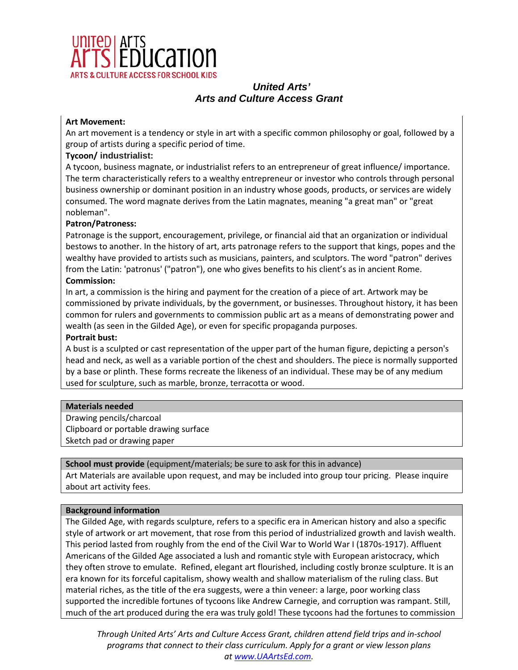

### **Art Movement:**

An art movement is a tendency or style in art with a specific common philosophy or goal, followed by a group of artists during a specific period of time.

### **Tycoon/ industrialist:**

A tycoon, business magnate, or industrialist refers to an entrepreneur of great influence/ importance. The term characteristically refers to a wealthy entrepreneur or investor who controls through personal business ownership or dominant position in an industry whose goods, products, or services are widely consumed. The word magnate derives from the Latin magnates, meaning "a great man" or "great nobleman".

### **Patron/Patroness:**

Patronage is the support, encouragement, privilege, or financial aid that an organization or individual bestows to another. In the history of art, arts patronage refers to the support that kings, popes and the wealthy have provided to artists such as musicians, painters, and sculptors. The word "patron" derives from the Latin: 'patronus' ("patron"), one who gives benefits to his client's as in ancient Rome. **Commission:**

In art, a commission is the hiring and payment for the creation of a piece of art. Artwork may be commissioned by private individuals, by the government, or businesses. Throughout history, it has been common for rulers and governments to commission public art as a means of demonstrating power and wealth (as seen in the Gilded Age), or even for specific propaganda purposes.

#### **Portrait bust:**

A bust is a sculpted or cast representation of the upper part of the human figure, depicting a person's head and neck, as well as a variable portion of the chest and shoulders. The piece is normally supported by a base or plinth. These forms recreate the likeness of an individual. These may be of any medium used for sculpture, such as marble, bronze, terracotta or wood.

### **Materials needed**

Drawing pencils/charcoal Clipboard or portable drawing surface Sketch pad or drawing paper

### **School must provide** (equipment/materials; be sure to ask for this in advance)

Art Materials are available upon request, and may be included into group tour pricing. Please inquire about art activity fees.

### **Background information**

The Gilded Age, with regards sculpture, refers to a specific era in American history and also a specific style of artwork or art movement, that rose from this period of industrialized growth and lavish wealth. This period lasted from roughly from the end of the Civil War to World War I (1870s-1917). Affluent Americans of the Gilded Age associated a lush and romantic style with European aristocracy, which they often strove to emulate. Refined, elegant art flourished, including costly bronze sculpture. It is an era known for its forceful capitalism, showy wealth and shallow materialism of the ruling class. But material riches, as the title of the era suggests, were a thin veneer: a large, poor working class supported the incredible fortunes of tycoons like Andrew Carnegie, and corruption was rampant. Still, much of the art produced during the era was truly gold! These tycoons had the fortunes to commission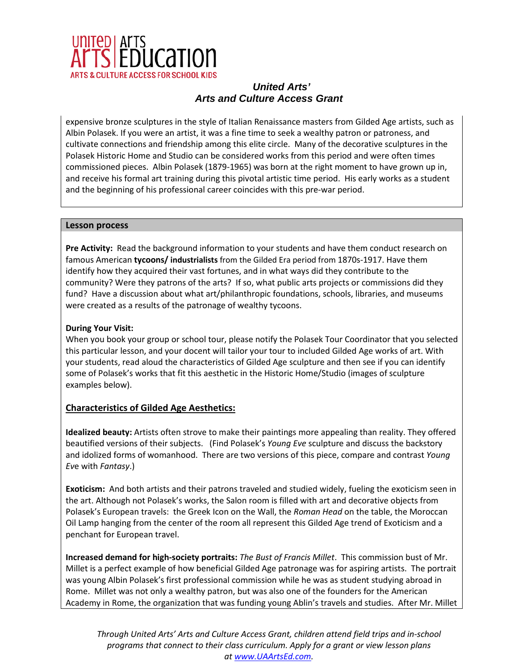

expensive bronze sculptures in the style of Italian Renaissance masters from Gilded Age artists, such as Albin Polasek. If you were an artist, it was a fine time to seek a wealthy patron or patroness, and cultivate connections and friendship among this elite circle. Many of the decorative sculptures in the Polasek Historic Home and Studio can be considered works from this period and were often times commissioned pieces. Albin Polasek (1879-1965) was born at the right moment to have grown up in, and receive his formal art training during this pivotal artistic time period. His early works as a student and the beginning of his professional career coincides with this pre-war period.

### **Lesson process**

**Pre Activity:** Read the background information to your students and have them conduct research on famous American **tycoons/ industrialists** from the Gilded Era period from 1870s-1917. Have them identify how they acquired their vast fortunes, and in what ways did they contribute to the community? Were they patrons of the arts? If so, what public arts projects or commissions did they fund? Have a discussion about what art/philanthropic foundations, schools, libraries, and museums were created as a results of the patronage of wealthy tycoons.

### **During Your Visit:**

When you book your group or school tour, please notify the Polasek Tour Coordinator that you selected this particular lesson, and your docent will tailor your tour to included Gilded Age works of art. With your students, read aloud the characteristics of Gilded Age sculpture and then see if you can identify some of Polasek's works that fit this aesthetic in the Historic Home/Studio (images of sculpture examples below).

## **Characteristics of Gilded Age Aesthetics:**

**Idealized beauty:** Artists often strove to make their paintings more appealing than reality. They offered beautified versions of their subjects. (Find Polasek's *Young Eve* sculpture and discuss the backstory and idolized forms of womanhood. There are two versions of this piece, compare and contrast *Young Ev*e with *Fantasy*.)

**Exoticism:** And both artists and their patrons traveled and studied widely, fueling the exoticism seen in the art. Although not Polasek's works, the Salon room is filled with art and decorative objects from Polasek's European travels: the Greek Icon on the Wall, the *Roman Head* on the table, the Moroccan Oil Lamp hanging from the center of the room all represent this Gilded Age trend of Exoticism and a penchant for European travel.

**Increased demand for high-society portraits:** *The Bust of Francis Millet*. This commission bust of Mr. Millet is a perfect example of how beneficial Gilded Age patronage was for aspiring artists. The portrait was young Albin Polasek's first professional commission while he was as student studying abroad in Rome. Millet was not only a wealthy patron, but was also one of the founders for the American Academy in Rome, the organization that was funding young Ablin's travels and studies. After Mr. Millet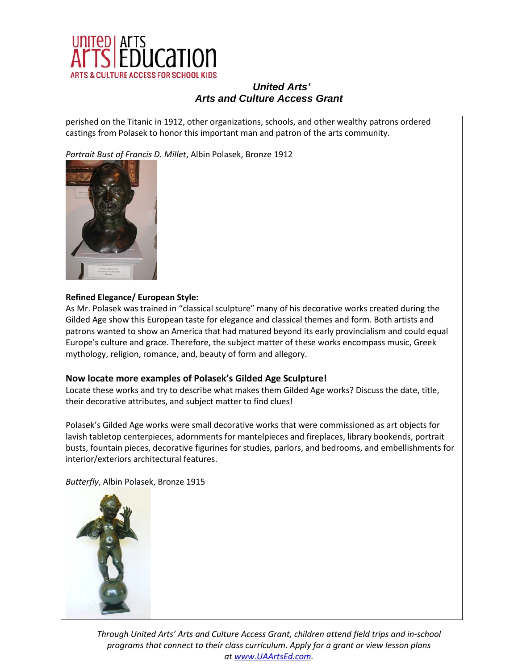

perished on the Titanic in 1912, other organizations, schools, and other wealthy patrons ordered castings from Polasek to honor this important man and patron of the arts community.

*Portrait Bust of Francis D. Millet*, Albin Polasek, Bronze 1912



### **Refined Elegance/ European Style:**

As Mr. Polasek was trained in "classical sculpture" many of his decorative works created during the Gilded Age show this European taste for elegance and classical themes and form. Both artists and patrons wanted to show an America that had matured beyond its early provincialism and could equal Europe's culture and grace. Therefore, the subject matter of these works encompass music, Greek mythology, religion, romance, and, beauty of form and allegory.

### **Now locate more examples of Polasek's Gilded Age Sculpture!**

Locate these works and try to describe what makes them Gilded Age works? Discuss the date, title, their decorative attributes, and subject matter to find clues!

Polasek's Gilded Age works were small decorative works that were commissioned as art objects for lavish tabletop centerpieces, adornments for mantelpieces and fireplaces, library bookends, portrait busts, fountain pieces, decorative figurines for studies, parlors, and bedrooms, and embellishments for interior/exteriors architectural features.

*Butterfly*, Albin Polasek, Bronze 1915

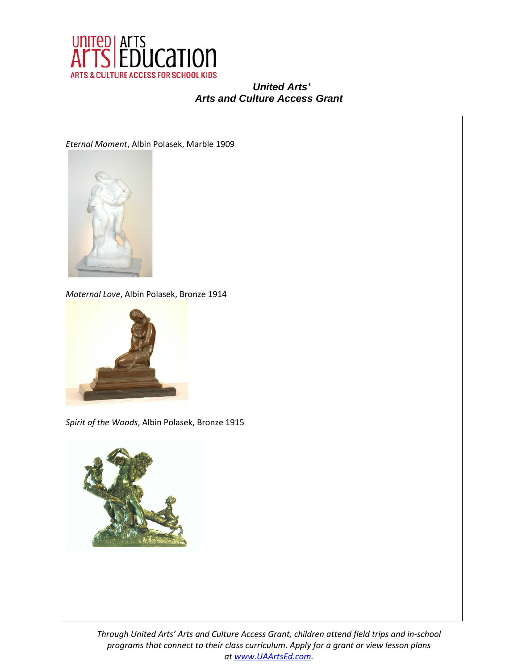

*Eternal Moment*, Albin Polasek, Marble 1909



*Maternal Love*, Albin Polasek, Bronze 1914



*Spirit of the Woods*, Albin Polasek, Bronze 1915

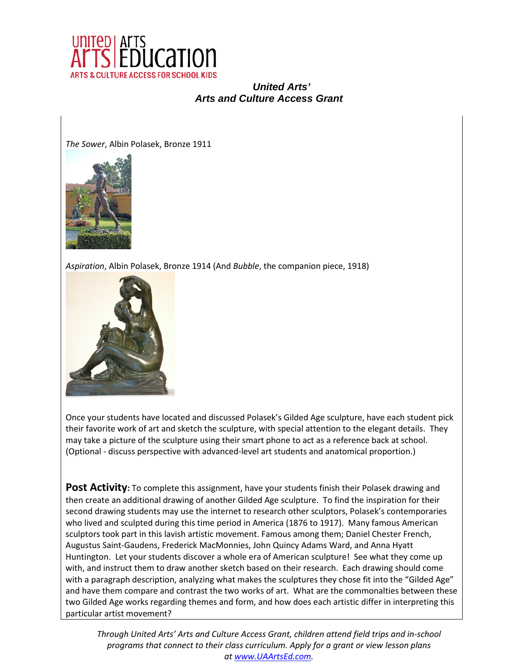

*The Sower*, Albin Polasek, Bronze 1911



*Aspiration*, Albin Polasek, Bronze 1914 (And *Bubble*, the companion piece, 1918)



Once your students have located and discussed Polasek's Gilded Age sculpture, have each student pick their favorite work of art and sketch the sculpture, with special attention to the elegant details. They may take a picture of the sculpture using their smart phone to act as a reference back at school. (Optional - discuss perspective with advanced-level art students and anatomical proportion.)

Post Activity: To complete this assignment, have your students finish their Polasek drawing and then create an additional drawing of another Gilded Age sculpture. To find the inspiration for their second drawing students may use the internet to research other sculptors, Polasek's contemporaries who lived and sculpted during this time period in America (1876 to 1917). Many famous American sculptors took part in this lavish artistic movement. Famous among them; Daniel Chester French, Augustus Saint-Gaudens, Frederick MacMonnies, John Quincy Adams Ward, and Anna Hyatt Huntington. Let your students discover a whole era of American sculpture! See what they come up with, and instruct them to draw another sketch based on their research. Each drawing should come with a paragraph description, analyzing what makes the sculptures they chose fit into the "Gilded Age" and have them compare and contrast the two works of art. What are the commonalties between these two Gilded Age works regarding themes and form, and how does each artistic differ in interpreting this particular artist movement?